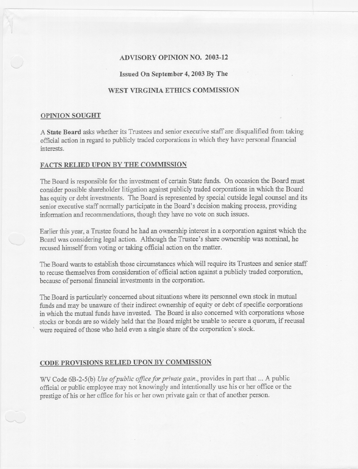# ADVISORY OPINION NO. 2003-12

#### Issued On September 4, 2003By The

# WEST VIRGINIA ETHICS COMMISSION

#### OPINION SOUGHT

---

A **State Board** asks whether its Trustees and senior executive staff are disqualified from taking official action in regard to publicly traded corporationsin which they have personal fmancial interests.

### FACTS RELIED UPON BY THE COMMISSION

The Board is responsible for the investment of certain State funds. On occasion the Board must consider possible shareholder litigation against publicly traded corporations in which the Board has equity or debt investments. The Board is represented by special outside legal counsel and its senior executive staff normally participate in the Board's decision making process, providing information and recommendations, though they have no vote on such issues.

Earlier this year, a Trustee found he had an ownership interest in a corporation against which the Board was considering legal action. Although the Trustee's share ownership was nominal, he recused himself from voting or taking official action on the matter.

The Board wants to establish those circumstances which will require its Trustees and senior staff to recuse themselves from consideration of official action against a publicly traded corporation, because of personal financial investments in the corporation.

The Board is particularly concerned about situations where its personnel own stock in mutual funds and may be unaware of their indirect ownership of equity or debt of specific corporations in which the mutual funds have invested. The Board is also concerned with corporations whose stocks or bonds are so widely held that the Board might be unable to secure a quorum, if recusal were required of those who held even a single share of the corporation's stock.

### CODE PROVISIONS RELIED UPON BY COMMISSION

WV Code 6B-2-5(b) *Use of public office for private gain*., provides in part that ... A public official or public employee may not knowingly and intentionally use his or her office or the prestige of his or her office for his or her own private gain or that of another person.